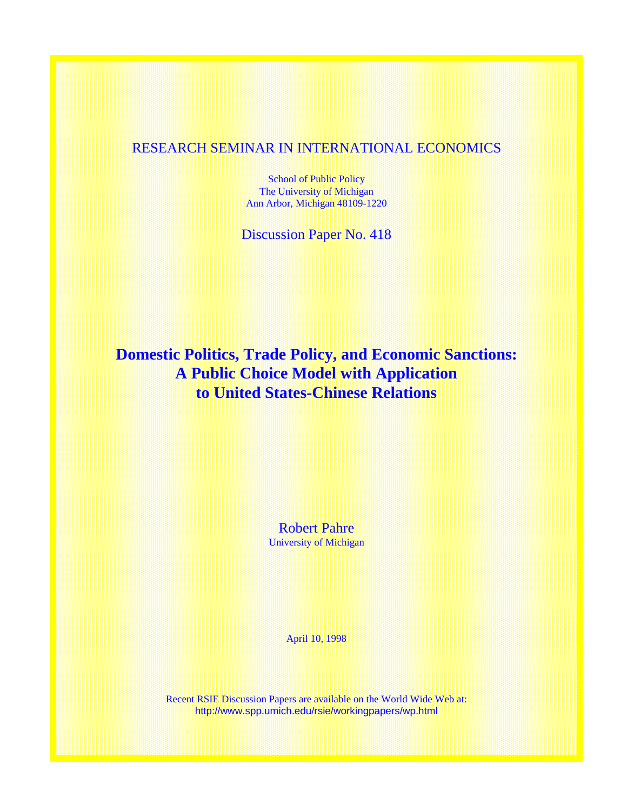# RESEARCH SEMINAR IN INTERNATIONAL ECONOMICS

School of Public Policy The University of Michigan Ann Arbor, Michigan 48109-1220

Discussion Paper No. 418

# **Domestic Politics, Trade Policy, and Economic Sanctions: A Public Choice Model with Application to United States-Chinese Relations**

Robert Pahre University of Michigan

April 10, 1998

Recent RSIE Discussion Papers are available on the World Wide Web at: http://www.spp.umich.edu/rsie/workingpapers/wp.html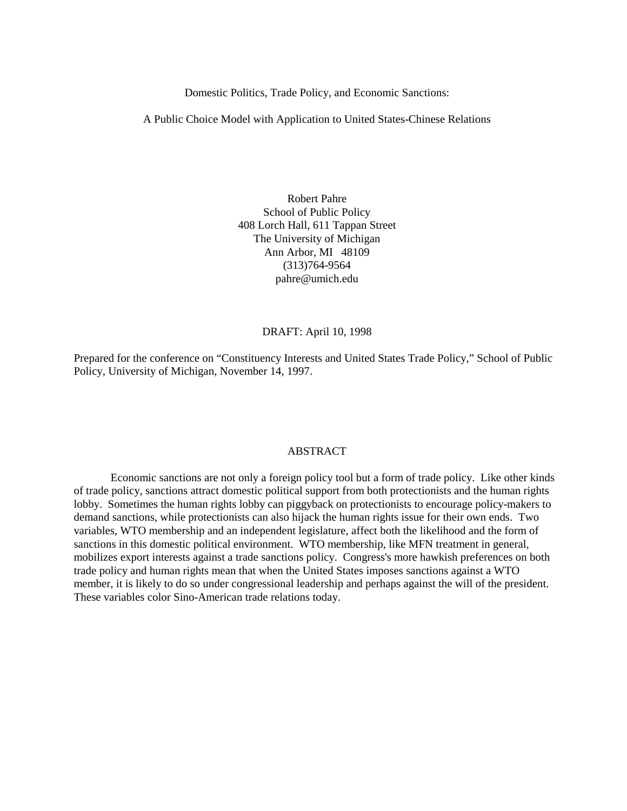Domestic Politics, Trade Policy, and Economic Sanctions:

A Public Choice Model with Application to United States-Chinese Relations

Robert Pahre School of Public Policy 408 Lorch Hall, 611 Tappan Street The University of Michigan Ann Arbor, MI 48109 (313)764-9564 pahre@umich.edu

# DRAFT: April 10, 1998

Prepared for the conference on "Constituency Interests and United States Trade Policy," School of Public Policy, University of Michigan, November 14, 1997.

# ABSTRACT

Economic sanctions are not only a foreign policy tool but a form of trade policy. Like other kinds of trade policy, sanctions attract domestic political support from both protectionists and the human rights lobby. Sometimes the human rights lobby can piggyback on protectionists to encourage policy-makers to demand sanctions, while protectionists can also hijack the human rights issue for their own ends. Two variables, WTO membership and an independent legislature, affect both the likelihood and the form of sanctions in this domestic political environment. WTO membership, like MFN treatment in general, mobilizes export interests against a trade sanctions policy. Congress's more hawkish preferences on both trade policy and human rights mean that when the United States imposes sanctions against a WTO member, it is likely to do so under congressional leadership and perhaps against the will of the president. These variables color Sino-American trade relations today.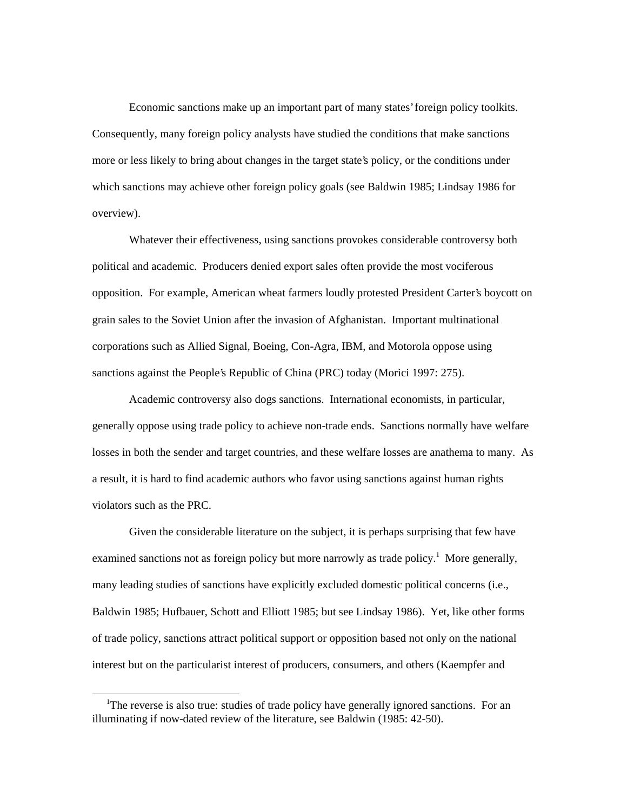Economic sanctions make up an important part of many states' foreign policy toolkits. Consequently, many foreign policy analysts have studied the conditions that make sanctions more or less likely to bring about changes in the target state's policy, or the conditions under which sanctions may achieve other foreign policy goals (see Baldwin 1985; Lindsay 1986 for overview).

Whatever their effectiveness, using sanctions provokes considerable controversy both political and academic. Producers denied export sales often provide the most vociferous opposition. For example, American wheat farmers loudly protested President Carter's boycott on grain sales to the Soviet Union after the invasion of Afghanistan. Important multinational corporations such as Allied Signal, Boeing, Con-Agra, IBM, and Motorola oppose using sanctions against the People's Republic of China (PRC) today (Morici 1997: 275).

Academic controversy also dogs sanctions. International economists, in particular, generally oppose using trade policy to achieve non-trade ends. Sanctions normally have welfare losses in both the sender and target countries, and these welfare losses are anathema to many. As a result, it is hard to find academic authors who favor using sanctions against human rights violators such as the PRC.

Given the considerable literature on the subject, it is perhaps surprising that few have examined sanctions not as foreign policy but more narrowly as trade policy.<sup>1</sup> More generally, many leading studies of sanctions have explicitly excluded domestic political concerns (i.e., Baldwin 1985; Hufbauer, Schott and Elliott 1985; but see Lindsay 1986). Yet, like other forms of trade policy, sanctions attract political support or opposition based not only on the national interest but on the particularist interest of producers, consumers, and others (Kaempfer and

<sup>&</sup>lt;sup>1</sup>The reverse is also true: studies of trade policy have generally ignored sanctions. For an illuminating if now-dated review of the literature, see Baldwin (1985: 42-50).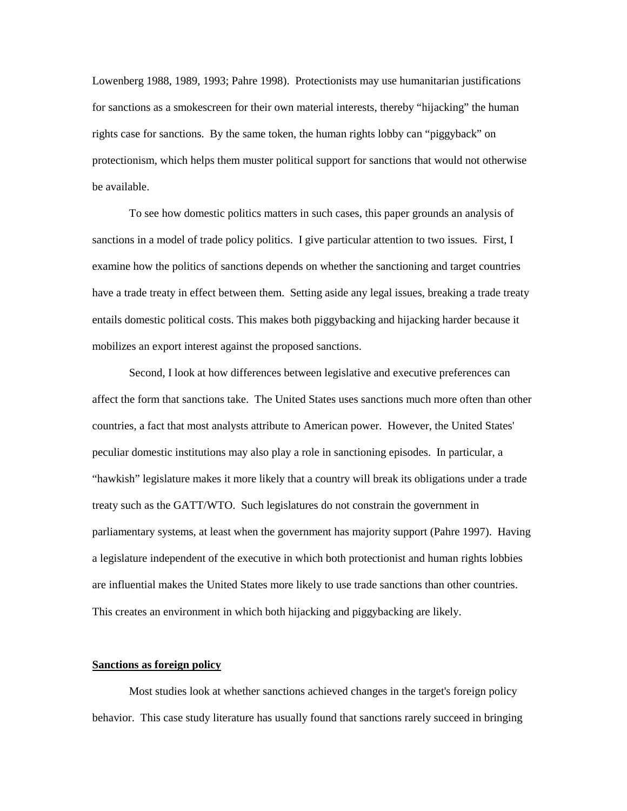Lowenberg 1988, 1989, 1993; Pahre 1998). Protectionists may use humanitarian justifications for sanctions as a smokescreen for their own material interests, thereby "hijacking" the human rights case for sanctions. By the same token, the human rights lobby can "piggyback" on protectionism, which helps them muster political support for sanctions that would not otherwise be available.

To see how domestic politics matters in such cases, this paper grounds an analysis of sanctions in a model of trade policy politics. I give particular attention to two issues. First, I examine how the politics of sanctions depends on whether the sanctioning and target countries have a trade treaty in effect between them. Setting aside any legal issues, breaking a trade treaty entails domestic political costs. This makes both piggybacking and hijacking harder because it mobilizes an export interest against the proposed sanctions.

Second, I look at how differences between legislative and executive preferences can affect the form that sanctions take. The United States uses sanctions much more often than other countries, a fact that most analysts attribute to American power. However, the United States' peculiar domestic institutions may also play a role in sanctioning episodes. In particular, a "hawkish" legislature makes it more likely that a country will break its obligations under a trade treaty such as the GATT/WTO. Such legislatures do not constrain the government in parliamentary systems, at least when the government has majority support (Pahre 1997). Having a legislature independent of the executive in which both protectionist and human rights lobbies are influential makes the United States more likely to use trade sanctions than other countries. This creates an environment in which both hijacking and piggybacking are likely.

## **Sanctions as foreign policy**

Most studies look at whether sanctions achieved changes in the target's foreign policy behavior. This case study literature has usually found that sanctions rarely succeed in bringing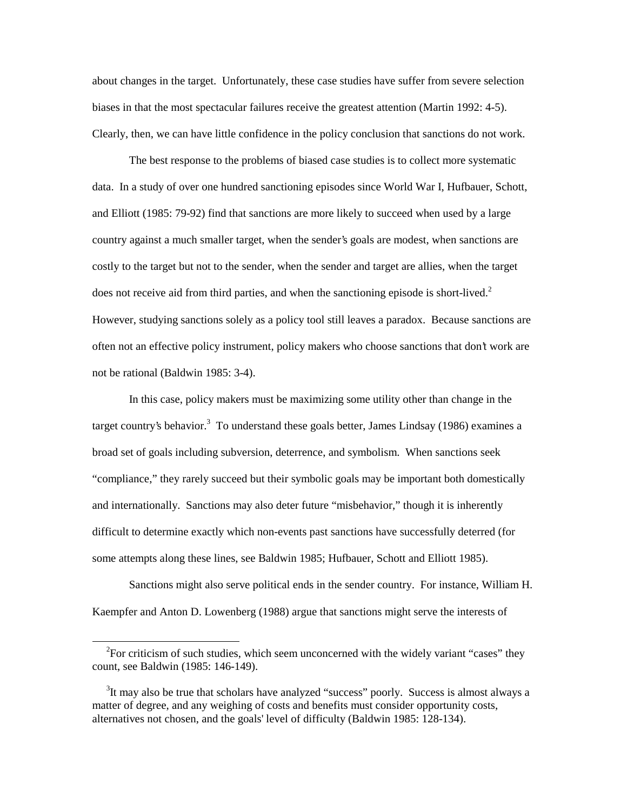about changes in the target. Unfortunately, these case studies have suffer from severe selection biases in that the most spectacular failures receive the greatest attention (Martin 1992: 4-5). Clearly, then, we can have little confidence in the policy conclusion that sanctions do not work.

The best response to the problems of biased case studies is to collect more systematic data. In a study of over one hundred sanctioning episodes since World War I, Hufbauer, Schott, and Elliott (1985: 79-92) find that sanctions are more likely to succeed when used by a large country against a much smaller target, when the sender's goals are modest, when sanctions are costly to the target but not to the sender, when the sender and target are allies, when the target does not receive aid from third parties, and when the sanctioning episode is short-lived.<sup>2</sup> However, studying sanctions solely as a policy tool still leaves a paradox. Because sanctions are often not an effective policy instrument, policy makers who choose sanctions that don't work are not be rational (Baldwin 1985: 3-4).

In this case, policy makers must be maximizing some utility other than change in the target country's behavior.<sup>3</sup> To understand these goals better, James Lindsay (1986) examines a broad set of goals including subversion, deterrence, and symbolism. When sanctions seek "compliance," they rarely succeed but their symbolic goals may be important both domestically and internationally. Sanctions may also deter future "misbehavior," though it is inherently difficult to determine exactly which non-events past sanctions have successfully deterred (for some attempts along these lines, see Baldwin 1985; Hufbauer, Schott and Elliott 1985).

Sanctions might also serve political ends in the sender country. For instance, William H. Kaempfer and Anton D. Lowenberg (1988) argue that sanctions might serve the interests of

<sup>&</sup>lt;sup>2</sup>For criticism of such studies, which seem unconcerned with the widely variant "cases" they count, see Baldwin (1985: 146-149).

<sup>&</sup>lt;sup>3</sup>It may also be true that scholars have analyzed "success" poorly. Success is almost always a matter of degree, and any weighing of costs and benefits must consider opportunity costs, alternatives not chosen, and the goals' level of difficulty (Baldwin 1985: 128-134).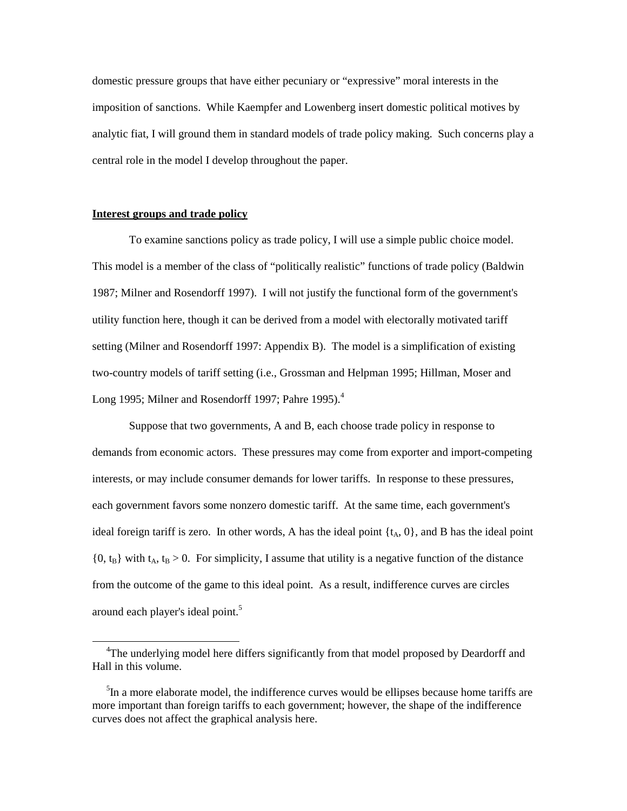domestic pressure groups that have either pecuniary or "expressive" moral interests in the imposition of sanctions. While Kaempfer and Lowenberg insert domestic political motives by analytic fiat, I will ground them in standard models of trade policy making. Such concerns play a central role in the model I develop throughout the paper.

# **Interest groups and trade policy**

 $\overline{a}$ 

To examine sanctions policy as trade policy, I will use a simple public choice model. This model is a member of the class of "politically realistic" functions of trade policy (Baldwin 1987; Milner and Rosendorff 1997). I will not justify the functional form of the government's utility function here, though it can be derived from a model with electorally motivated tariff setting (Milner and Rosendorff 1997: Appendix B). The model is a simplification of existing two-country models of tariff setting (i.e., Grossman and Helpman 1995; Hillman, Moser and Long 1995; Milner and Rosendorff 1997; Pahre 1995).<sup>4</sup>

Suppose that two governments, A and B, each choose trade policy in response to demands from economic actors. These pressures may come from exporter and import-competing interests, or may include consumer demands for lower tariffs. In response to these pressures, each government favors some nonzero domestic tariff. At the same time, each government's ideal foreign tariff is zero. In other words, A has the ideal point  $\{t_A, 0\}$ , and B has the ideal point  ${0, t_B}$  with  $t_A, t_B > 0$ . For simplicity, I assume that utility is a negative function of the distance from the outcome of the game to this ideal point. As a result, indifference curves are circles around each player's ideal point.<sup>5</sup>

<sup>&</sup>lt;sup>4</sup>The underlying model here differs significantly from that model proposed by Deardorff and Hall in this volume.

<sup>&</sup>lt;sup>5</sup>In a more elaborate model, the indifference curves would be ellipses because home tariffs are more important than foreign tariffs to each government; however, the shape of the indifference curves does not affect the graphical analysis here.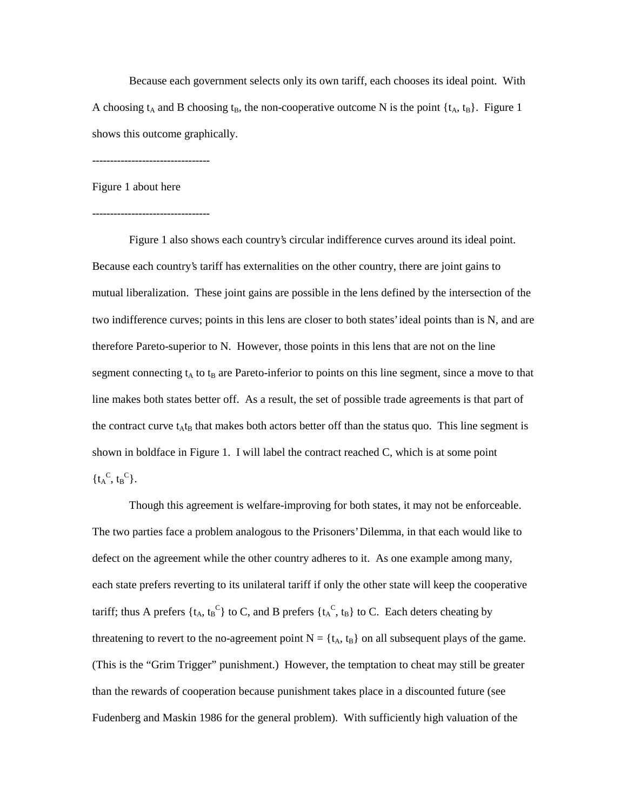Because each government selects only its own tariff, each chooses its ideal point. With A choosing  $t_A$  and B choosing  $t_B$ , the non-cooperative outcome N is the point  $\{t_A, t_B\}$ . Figure 1 shows this outcome graphically.

---------------------------------

Figure 1 about here

---------------------------------

Figure 1 also shows each country's circular indifference curves around its ideal point. Because each country's tariff has externalities on the other country, there are joint gains to mutual liberalization. These joint gains are possible in the lens defined by the intersection of the two indifference curves; points in this lens are closer to both states' ideal points than is N, and are therefore Pareto-superior to N. However, those points in this lens that are not on the line segment connecting  $t_A$  to  $t_B$  are Pareto-inferior to points on this line segment, since a move to that line makes both states better off. As a result, the set of possible trade agreements is that part of the contract curve  $t_A t_B$  that makes both actors better off than the status quo. This line segment is shown in boldface in Figure 1. I will label the contract reached C, which is at some point  $\{t_A^C, t_B^C\}.$ 

Though this agreement is welfare-improving for both states, it may not be enforceable. The two parties face a problem analogous to the Prisoners' Dilemma, in that each would like to defect on the agreement while the other country adheres to it. As one example among many, each state prefers reverting to its unilateral tariff if only the other state will keep the cooperative tariff; thus A prefers { $t_A$ ,  $t_B^C$ } to C, and B prefers { $t_A^C$ ,  $t_B$ } to C. Each deters cheating by threatening to revert to the no-agreement point  $N = \{t_A, t_B\}$  on all subsequent plays of the game. (This is the "Grim Trigger" punishment.) However, the temptation to cheat may still be greater than the rewards of cooperation because punishment takes place in a discounted future (see Fudenberg and Maskin 1986 for the general problem). With sufficiently high valuation of the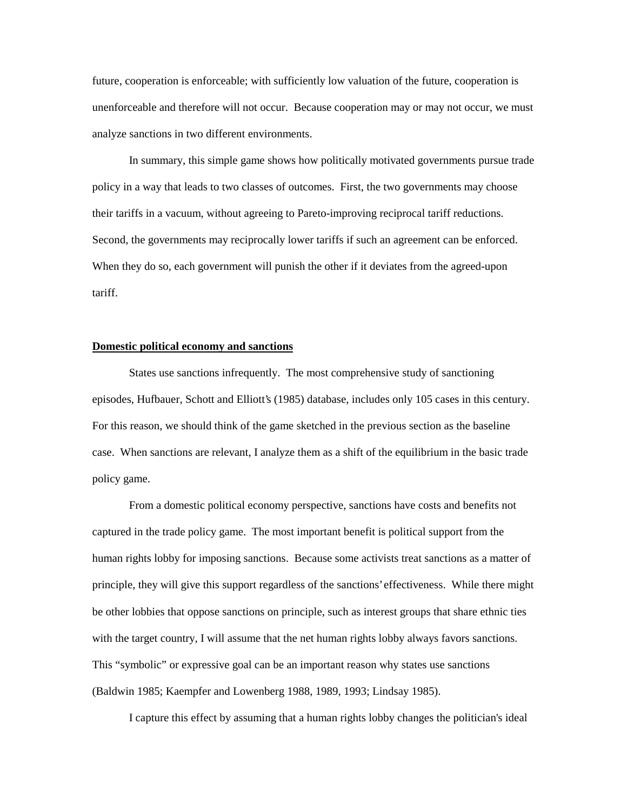future, cooperation is enforceable; with sufficiently low valuation of the future, cooperation is unenforceable and therefore will not occur. Because cooperation may or may not occur, we must analyze sanctions in two different environments.

In summary, this simple game shows how politically motivated governments pursue trade policy in a way that leads to two classes of outcomes. First, the two governments may choose their tariffs in a vacuum, without agreeing to Pareto-improving reciprocal tariff reductions. Second, the governments may reciprocally lower tariffs if such an agreement can be enforced. When they do so, each government will punish the other if it deviates from the agreed-upon tariff.

#### **Domestic political economy and sanctions**

States use sanctions infrequently. The most comprehensive study of sanctioning episodes, Hufbauer, Schott and Elliott's (1985) database, includes only 105 cases in this century. For this reason, we should think of the game sketched in the previous section as the baseline case. When sanctions are relevant, I analyze them as a shift of the equilibrium in the basic trade policy game.

From a domestic political economy perspective, sanctions have costs and benefits not captured in the trade policy game. The most important benefit is political support from the human rights lobby for imposing sanctions. Because some activists treat sanctions as a matter of principle, they will give this support regardless of the sanctions' effectiveness. While there might be other lobbies that oppose sanctions on principle, such as interest groups that share ethnic ties with the target country, I will assume that the net human rights lobby always favors sanctions. This "symbolic" or expressive goal can be an important reason why states use sanctions (Baldwin 1985; Kaempfer and Lowenberg 1988, 1989, 1993; Lindsay 1985).

I capture this effect by assuming that a human rights lobby changes the politician's ideal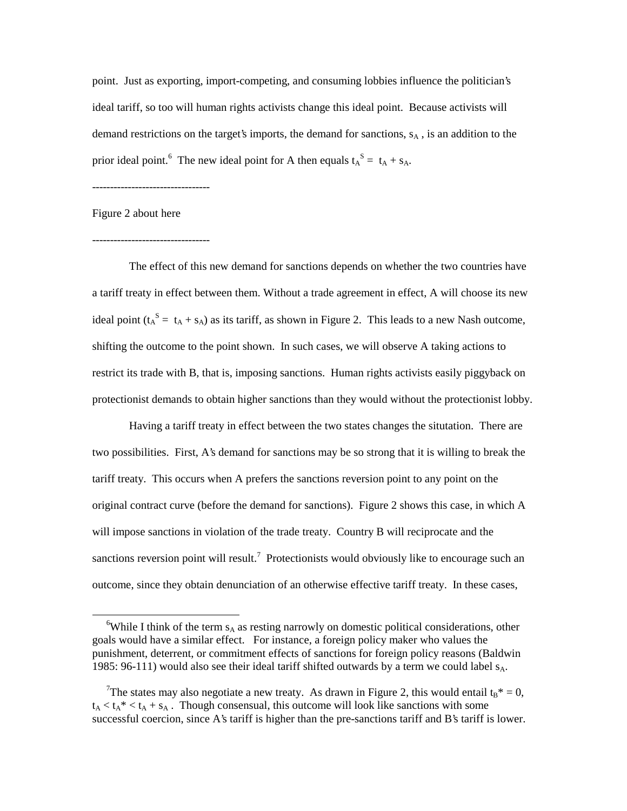point. Just as exporting, import-competing, and consuming lobbies influence the politician's ideal tariff, so too will human rights activists change this ideal point. Because activists will demand restrictions on the target's imports, the demand for sanctions,  $s_A$ , is an addition to the prior ideal point.<sup>6</sup> The new ideal point for A then equals  $t_A^S = t_A + s_A$ .

---------------------------------

Figure 2 about here

 $\overline{a}$ 

#### ---------------------------------

The effect of this new demand for sanctions depends on whether the two countries have a tariff treaty in effect between them. Without a trade agreement in effect, A will choose its new ideal point  $(t_A^S = t_A + s_A)$  as its tariff, as shown in Figure 2. This leads to a new Nash outcome, shifting the outcome to the point shown. In such cases, we will observe A taking actions to restrict its trade with B, that is, imposing sanctions. Human rights activists easily piggyback on protectionist demands to obtain higher sanctions than they would without the protectionist lobby.

Having a tariff treaty in effect between the two states changes the situtation. There are two possibilities. First, A's demand for sanctions may be so strong that it is willing to break the tariff treaty. This occurs when A prefers the sanctions reversion point to any point on the original contract curve (before the demand for sanctions). Figure 2 shows this case, in which A will impose sanctions in violation of the trade treaty. Country B will reciprocate and the sanctions reversion point will result.<sup>7</sup> Protectionists would obviously like to encourage such an outcome, since they obtain denunciation of an otherwise effective tariff treaty. In these cases,

<sup>&</sup>lt;sup>6</sup>While I think of the term  $s_A$  as resting narrowly on domestic political considerations, other goals would have a similar effect. For instance, a foreign policy maker who values the punishment, deterrent, or commitment effects of sanctions for foreign policy reasons (Baldwin 1985: 96-111) would also see their ideal tariff shifted outwards by a term we could label  $s_A$ .

<sup>&</sup>lt;sup>7</sup>The states may also negotiate a new treaty. As drawn in Figure 2, this would entail  $t_B^* = 0$ ,  $t_A < t_A * < t_A + s_A$ . Though consensual, this outcome will look like sanctions with some successful coercion, since A's tariff is higher than the pre-sanctions tariff and B's tariff is lower.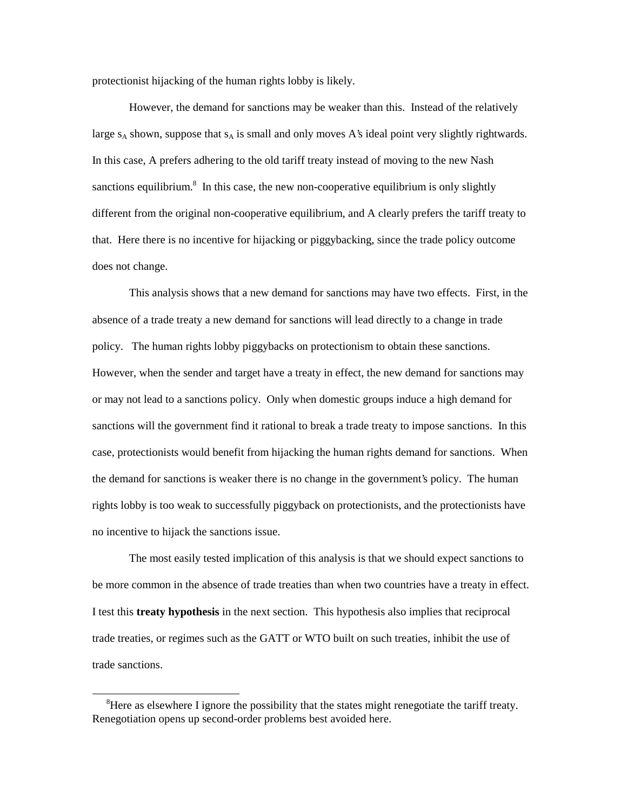protectionist hijacking of the human rights lobby is likely.

However, the demand for sanctions may be weaker than this. Instead of the relatively large  $s_A$  shown, suppose that  $s_A$  is small and only moves A's ideal point very slightly rightwards. In this case, A prefers adhering to the old tariff treaty instead of moving to the new Nash sanctions equilibrium.<sup>8</sup> In this case, the new non-cooperative equilibrium is only slightly different from the original non-cooperative equilibrium, and A clearly prefers the tariff treaty to that. Here there is no incentive for hijacking or piggybacking, since the trade policy outcome does not change.

This analysis shows that a new demand for sanctions may have two effects. First, in the absence of a trade treaty a new demand for sanctions will lead directly to a change in trade policy. The human rights lobby piggybacks on protectionism to obtain these sanctions. However, when the sender and target have a treaty in effect, the new demand for sanctions may or may not lead to a sanctions policy. Only when domestic groups induce a high demand for sanctions will the government find it rational to break a trade treaty to impose sanctions. In this case, protectionists would benefit from hijacking the human rights demand for sanctions. When the demand for sanctions is weaker there is no change in the government's policy. The human rights lobby is too weak to successfully piggyback on protectionists, and the protectionists have no incentive to hijack the sanctions issue.

The most easily tested implication of this analysis is that we should expect sanctions to be more common in the absence of trade treaties than when two countries have a treaty in effect. I test this **treaty hypothesis** in the next section. This hypothesis also implies that reciprocal trade treaties, or regimes such as the GATT or WTO built on such treaties, inhibit the use of trade sanctions.

<sup>&</sup>lt;sup>8</sup>Here as elsewhere I ignore the possibility that the states might renegotiate the tariff treaty. Renegotiation opens up second-order problems best avoided here.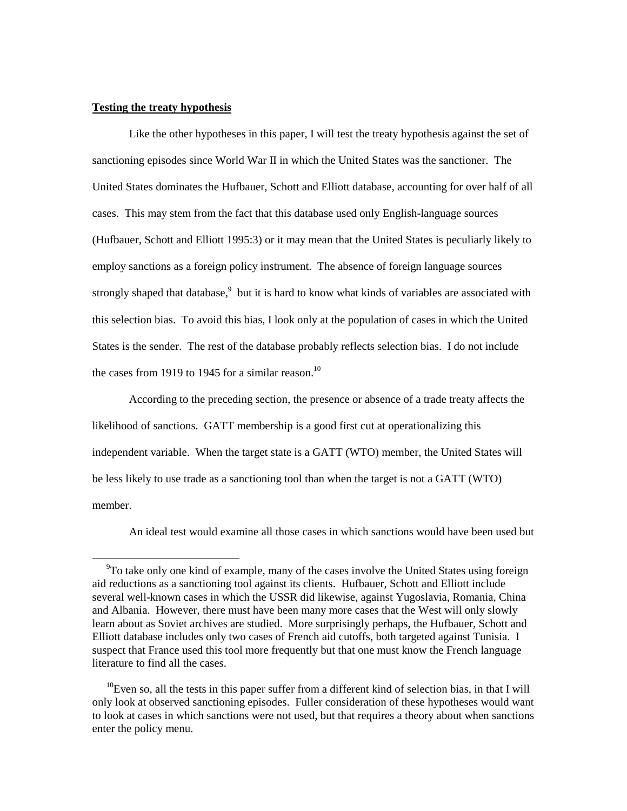#### **Testing the treaty hypothesis**

 $\overline{a}$ 

Like the other hypotheses in this paper, I will test the treaty hypothesis against the set of sanctioning episodes since World War II in which the United States was the sanctioner. The United States dominates the Hufbauer, Schott and Elliott database, accounting for over half of all cases. This may stem from the fact that this database used only English-language sources (Hufbauer, Schott and Elliott 1995:3) or it may mean that the United States is peculiarly likely to employ sanctions as a foreign policy instrument. The absence of foreign language sources strongly shaped that database,<sup>9</sup> but it is hard to know what kinds of variables are associated with this selection bias. To avoid this bias, I look only at the population of cases in which the United States is the sender. The rest of the database probably reflects selection bias. I do not include the cases from 1919 to 1945 for a similar reason.<sup>10</sup>

According to the preceding section, the presence or absence of a trade treaty affects the likelihood of sanctions. GATT membership is a good first cut at operationalizing this independent variable. When the target state is a GATT (WTO) member, the United States will be less likely to use trade as a sanctioning tool than when the target is not a GATT (WTO) member.

An ideal test would examine all those cases in which sanctions would have been used but

<sup>&</sup>lt;sup>9</sup>To take only one kind of example, many of the cases involve the United States using foreign aid reductions as a sanctioning tool against its clients. Hufbauer, Schott and Elliott include several well-known cases in which the USSR did likewise, against Yugoslavia, Romania, China and Albania. However, there must have been many more cases that the West will only slowly learn about as Soviet archives are studied. More surprisingly perhaps, the Hufbauer, Schott and Elliott database includes only two cases of French aid cutoffs, both targeted against Tunisia. I suspect that France used this tool more frequently but that one must know the French language literature to find all the cases.

 $10$ Even so, all the tests in this paper suffer from a different kind of selection bias, in that I will only look at observed sanctioning episodes. Fuller consideration of these hypotheses would want to look at cases in which sanctions were not used, but that requires a theory about when sanctions enter the policy menu.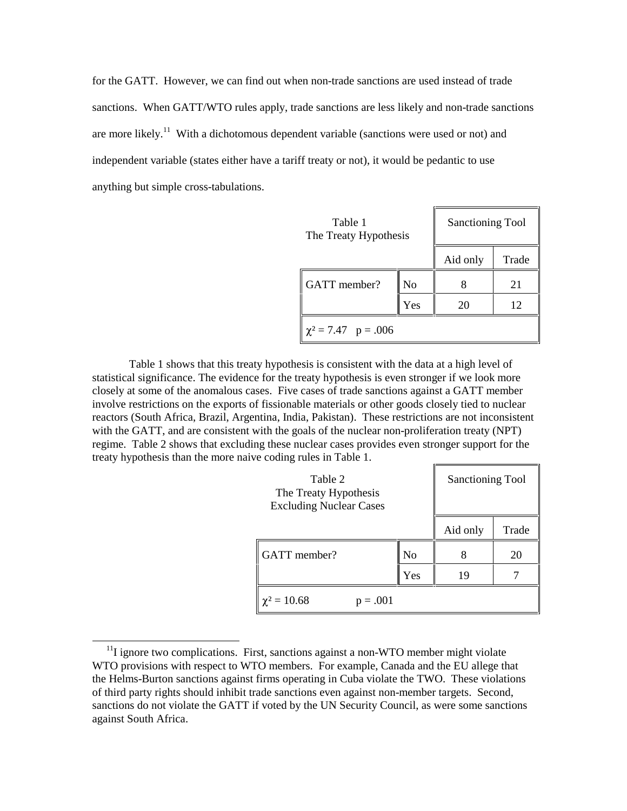for the GATT. However, we can find out when non-trade sanctions are used instead of trade sanctions. When GATT/WTO rules apply, trade sanctions are less likely and non-trade sanctions are more likely.<sup>11</sup> With a dichotomous dependent variable (sanctions were used or not) and independent variable (states either have a tariff treaty or not), it would be pedantic to use anything but simple cross-tabulations.

| Table 1<br>The Treaty Hypothesis |     | <b>Sanctioning Tool</b> |       |  |
|----------------------------------|-----|-------------------------|-------|--|
|                                  |     | Aid only                | Trade |  |
| GATT member?                     | No  |                         | 21    |  |
|                                  | Yes | 20                      | 12    |  |
| $\chi^2 = 7.47$ p = .006         |     |                         |       |  |

Table 1 shows that this treaty hypothesis is consistent with the data at a high level of statistical significance. The evidence for the treaty hypothesis is even stronger if we look more closely at some of the anomalous cases. Five cases of trade sanctions against a GATT member involve restrictions on the exports of fissionable materials or other goods closely tied to nuclear reactors (South Africa, Brazil, Argentina, India, Pakistan). These restrictions are not inconsistent with the GATT, and are consistent with the goals of the nuclear non-proliferation treaty (NPT) regime. Table 2 shows that excluding these nuclear cases provides even stronger support for the treaty hypothesis than the more naive coding rules in Table 1.  $\blacksquare$ 

| Table 2<br>The Treaty Hypothesis<br><b>Excluding Nuclear Cases</b> |     | <b>Sanctioning Tool</b> |       |
|--------------------------------------------------------------------|-----|-------------------------|-------|
|                                                                    |     | Aid only                | Trade |
| GATT member?                                                       | No  |                         | 20    |
|                                                                    | Yes | 19                      |       |
| $\chi^2 = 10.68$<br>$=.001$                                        |     |                         |       |

 $11$ I ignore two complications. First, sanctions against a non-WTO member might violate WTO provisions with respect to WTO members. For example, Canada and the EU allege that the Helms-Burton sanctions against firms operating in Cuba violate the TWO. These violations of third party rights should inhibit trade sanctions even against non-member targets. Second, sanctions do not violate the GATT if voted by the UN Security Council, as were some sanctions against South Africa.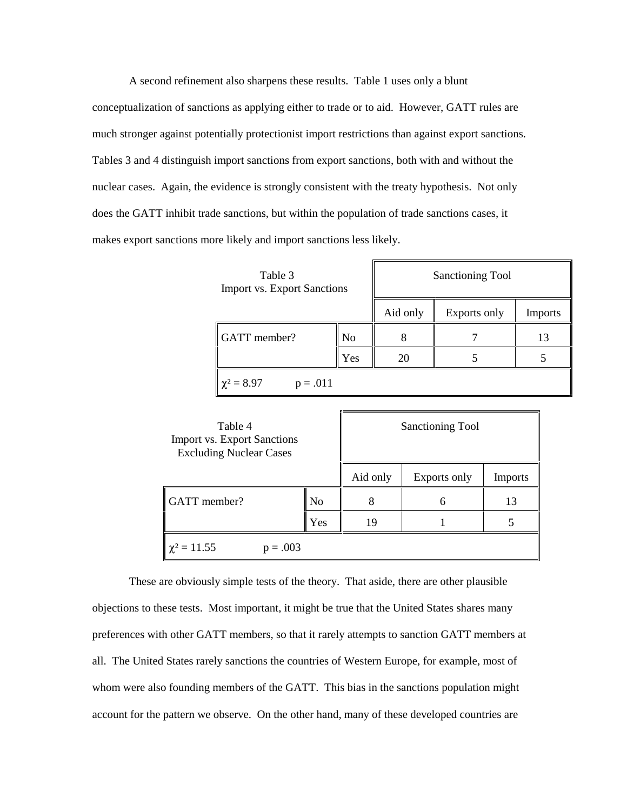A second refinement also sharpens these results. Table 1 uses only a blunt conceptualization of sanctions as applying either to trade or to aid. However, GATT rules are much stronger against potentially protectionist import restrictions than against export sanctions. Tables 3 and 4 distinguish import sanctions from export sanctions, both with and without the nuclear cases. Again, the evidence is strongly consistent with the treaty hypothesis. Not only does the GATT inhibit trade sanctions, but within the population of trade sanctions cases, it makes export sanctions more likely and import sanctions less likely.

| Table 3<br><b>Import vs. Export Sanctions</b> |     | Sanctioning Tool |              |                |
|-----------------------------------------------|-----|------------------|--------------|----------------|
|                                               |     | Aid only         | Exports only | <b>Imports</b> |
| GATT member?                                  | No  | 8                |              | 13             |
|                                               | Yes | 20               |              |                |
| $\chi^2 = 8.97$<br>$p = .011$                 |     |                  |              |                |

| Table 4<br><b>Import vs. Export Sanctions</b><br><b>Excluding Nuclear Cases</b> |     | Sanctioning Tool |              |                |
|---------------------------------------------------------------------------------|-----|------------------|--------------|----------------|
|                                                                                 |     | Aid only         | Exports only | <b>Imports</b> |
| GATT member?                                                                    | No  | 8                | 6            | 13             |
|                                                                                 | Yes | 19               |              |                |
| $\chi^2 = 11.55$<br>$p = .003$                                                  |     |                  |              |                |

These are obviously simple tests of the theory. That aside, there are other plausible objections to these tests. Most important, it might be true that the United States shares many preferences with other GATT members, so that it rarely attempts to sanction GATT members at all. The United States rarely sanctions the countries of Western Europe, for example, most of whom were also founding members of the GATT. This bias in the sanctions population might account for the pattern we observe. On the other hand, many of these developed countries are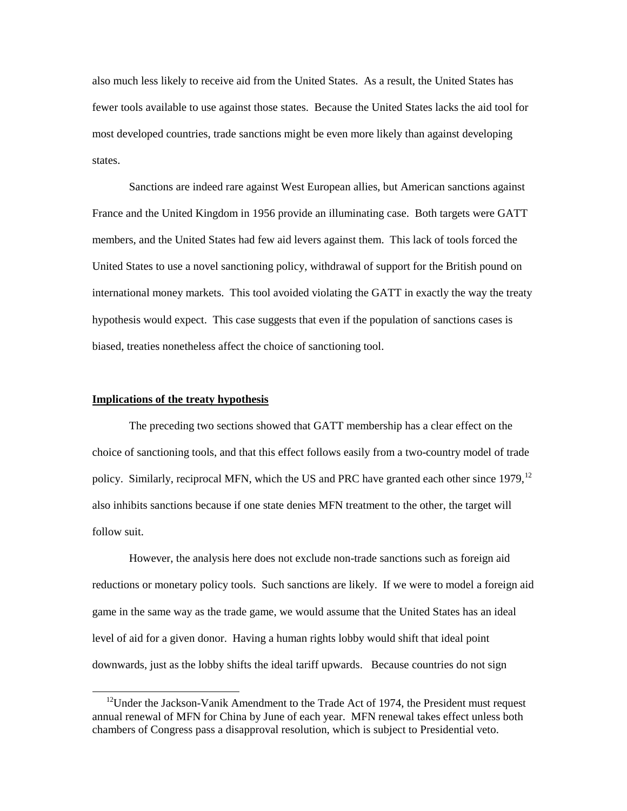also much less likely to receive aid from the United States. As a result, the United States has fewer tools available to use against those states. Because the United States lacks the aid tool for most developed countries, trade sanctions might be even more likely than against developing states.

Sanctions are indeed rare against West European allies, but American sanctions against France and the United Kingdom in 1956 provide an illuminating case. Both targets were GATT members, and the United States had few aid levers against them. This lack of tools forced the United States to use a novel sanctioning policy, withdrawal of support for the British pound on international money markets. This tool avoided violating the GATT in exactly the way the treaty hypothesis would expect. This case suggests that even if the population of sanctions cases is biased, treaties nonetheless affect the choice of sanctioning tool.

#### **Implications of the treaty hypothesis**

 $\overline{a}$ 

The preceding two sections showed that GATT membership has a clear effect on the choice of sanctioning tools, and that this effect follows easily from a two-country model of trade policy. Similarly, reciprocal MFN, which the US and PRC have granted each other since  $1979$ ,  $^{12}$ also inhibits sanctions because if one state denies MFN treatment to the other, the target will follow suit.

However, the analysis here does not exclude non-trade sanctions such as foreign aid reductions or monetary policy tools. Such sanctions are likely. If we were to model a foreign aid game in the same way as the trade game, we would assume that the United States has an ideal level of aid for a given donor. Having a human rights lobby would shift that ideal point downwards, just as the lobby shifts the ideal tariff upwards. Because countries do not sign

 $12$ Under the Jackson-Vanik Amendment to the Trade Act of 1974, the President must request annual renewal of MFN for China by June of each year. MFN renewal takes effect unless both chambers of Congress pass a disapproval resolution, which is subject to Presidential veto.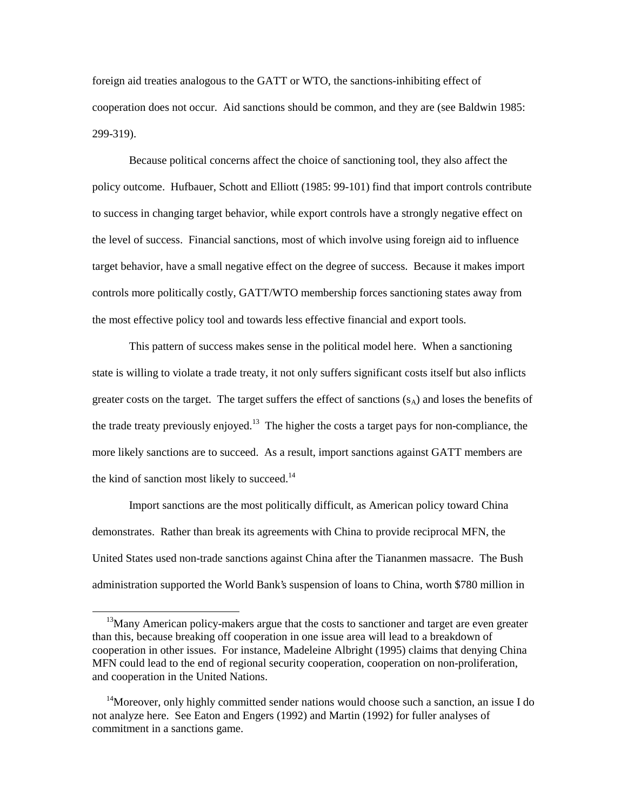foreign aid treaties analogous to the GATT or WTO, the sanctions-inhibiting effect of cooperation does not occur. Aid sanctions should be common, and they are (see Baldwin 1985: 299-319).

Because political concerns affect the choice of sanctioning tool, they also affect the policy outcome. Hufbauer, Schott and Elliott (1985: 99-101) find that import controls contribute to success in changing target behavior, while export controls have a strongly negative effect on the level of success. Financial sanctions, most of which involve using foreign aid to influence target behavior, have a small negative effect on the degree of success. Because it makes import controls more politically costly, GATT/WTO membership forces sanctioning states away from the most effective policy tool and towards less effective financial and export tools.

This pattern of success makes sense in the political model here. When a sanctioning state is willing to violate a trade treaty, it not only suffers significant costs itself but also inflicts greater costs on the target. The target suffers the effect of sanctions  $(s_A)$  and loses the benefits of the trade treaty previously enjoyed.<sup>13</sup> The higher the costs a target pays for non-compliance, the more likely sanctions are to succeed. As a result, import sanctions against GATT members are the kind of sanction most likely to succeed. $14$ 

Import sanctions are the most politically difficult, as American policy toward China demonstrates. Rather than break its agreements with China to provide reciprocal MFN, the United States used non-trade sanctions against China after the Tiananmen massacre. The Bush administration supported the World Bank's suspension of loans to China, worth \$780 million in

<sup>&</sup>lt;sup>13</sup>Many American policy-makers argue that the costs to sanctioner and target are even greater than this, because breaking off cooperation in one issue area will lead to a breakdown of cooperation in other issues. For instance, Madeleine Albright (1995) claims that denying China MFN could lead to the end of regional security cooperation, cooperation on non-proliferation, and cooperation in the United Nations.

<sup>&</sup>lt;sup>14</sup>Moreover, only highly committed sender nations would choose such a sanction, an issue I do not analyze here. See Eaton and Engers (1992) and Martin (1992) for fuller analyses of commitment in a sanctions game.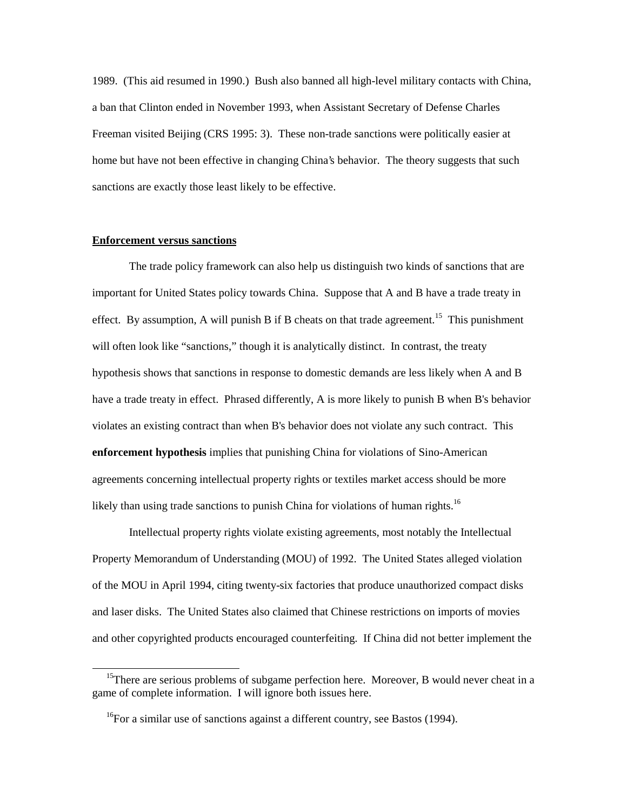1989. (This aid resumed in 1990.) Bush also banned all high-level military contacts with China, a ban that Clinton ended in November 1993, when Assistant Secretary of Defense Charles Freeman visited Beijing (CRS 1995: 3). These non-trade sanctions were politically easier at home but have not been effective in changing China's behavior. The theory suggests that such sanctions are exactly those least likely to be effective.

#### **Enforcement versus sanctions**

 $\overline{a}$ 

The trade policy framework can also help us distinguish two kinds of sanctions that are important for United States policy towards China. Suppose that A and B have a trade treaty in effect. By assumption, A will punish B if B cheats on that trade agreement.<sup>15</sup> This punishment will often look like "sanctions," though it is analytically distinct. In contrast, the treaty hypothesis shows that sanctions in response to domestic demands are less likely when A and B have a trade treaty in effect. Phrased differently, A is more likely to punish B when B's behavior violates an existing contract than when B's behavior does not violate any such contract. This **enforcement hypothesis** implies that punishing China for violations of Sino-American agreements concerning intellectual property rights or textiles market access should be more likely than using trade sanctions to punish China for violations of human rights.<sup>16</sup>

Intellectual property rights violate existing agreements, most notably the Intellectual Property Memorandum of Understanding (MOU) of 1992. The United States alleged violation of the MOU in April 1994, citing twenty-six factories that produce unauthorized compact disks and laser disks. The United States also claimed that Chinese restrictions on imports of movies and other copyrighted products encouraged counterfeiting. If China did not better implement the

<sup>&</sup>lt;sup>15</sup>There are serious problems of subgame perfection here. Moreover, B would never cheat in a game of complete information. I will ignore both issues here.

 $16$ For a similar use of sanctions against a different country, see Bastos (1994).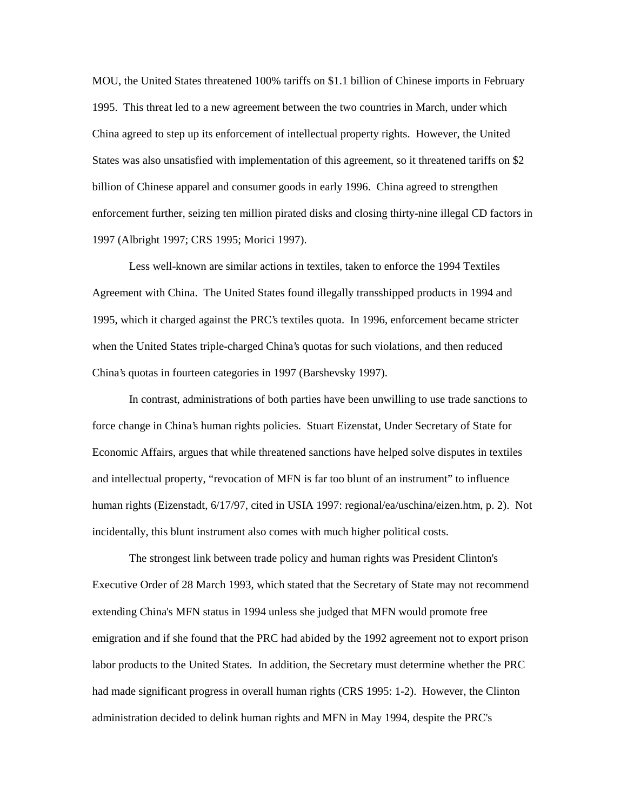MOU, the United States threatened 100% tariffs on \$1.1 billion of Chinese imports in February 1995. This threat led to a new agreement between the two countries in March, under which China agreed to step up its enforcement of intellectual property rights. However, the United States was also unsatisfied with implementation of this agreement, so it threatened tariffs on \$2 billion of Chinese apparel and consumer goods in early 1996. China agreed to strengthen enforcement further, seizing ten million pirated disks and closing thirty-nine illegal CD factors in 1997 (Albright 1997; CRS 1995; Morici 1997).

Less well-known are similar actions in textiles, taken to enforce the 1994 Textiles Agreement with China. The United States found illegally transshipped products in 1994 and 1995, which it charged against the PRC's textiles quota. In 1996, enforcement became stricter when the United States triple-charged China's quotas for such violations, and then reduced China's quotas in fourteen categories in 1997 (Barshevsky 1997).

In contrast, administrations of both parties have been unwilling to use trade sanctions to force change in China's human rights policies. Stuart Eizenstat, Under Secretary of State for Economic Affairs, argues that while threatened sanctions have helped solve disputes in textiles and intellectual property, "revocation of MFN is far too blunt of an instrument" to influence human rights (Eizenstadt, 6/17/97, cited in USIA 1997: regional/ea/uschina/eizen.htm, p. 2). Not incidentally, this blunt instrument also comes with much higher political costs.

The strongest link between trade policy and human rights was President Clinton's Executive Order of 28 March 1993, which stated that the Secretary of State may not recommend extending China's MFN status in 1994 unless she judged that MFN would promote free emigration and if she found that the PRC had abided by the 1992 agreement not to export prison labor products to the United States. In addition, the Secretary must determine whether the PRC had made significant progress in overall human rights (CRS 1995: 1-2). However, the Clinton administration decided to delink human rights and MFN in May 1994, despite the PRC's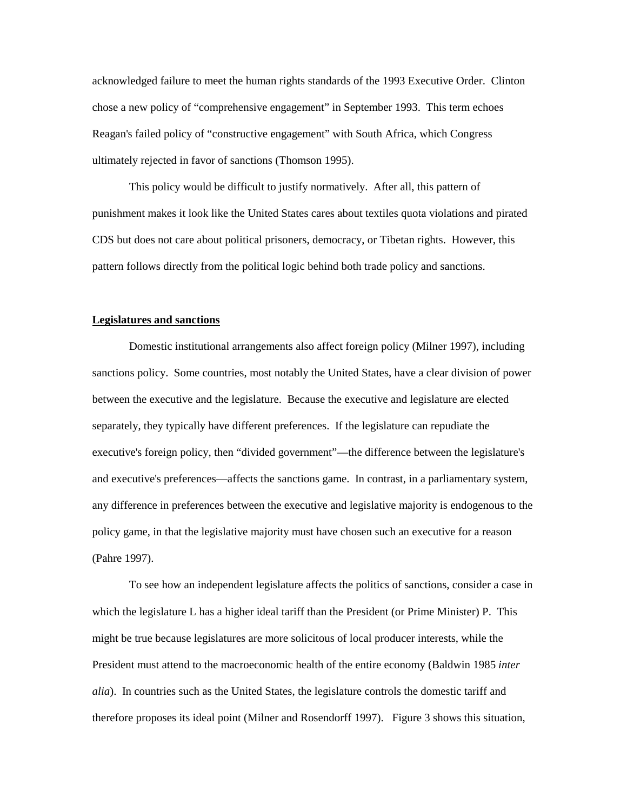acknowledged failure to meet the human rights standards of the 1993 Executive Order. Clinton chose a new policy of "comprehensive engagement" in September 1993. This term echoes Reagan's failed policy of "constructive engagement" with South Africa, which Congress ultimately rejected in favor of sanctions (Thomson 1995).

This policy would be difficult to justify normatively. After all, this pattern of punishment makes it look like the United States cares about textiles quota violations and pirated CDS but does not care about political prisoners, democracy, or Tibetan rights. However, this pattern follows directly from the political logic behind both trade policy and sanctions.

#### **Legislatures and sanctions**

Domestic institutional arrangements also affect foreign policy (Milner 1997), including sanctions policy. Some countries, most notably the United States, have a clear division of power between the executive and the legislature. Because the executive and legislature are elected separately, they typically have different preferences. If the legislature can repudiate the executive's foreign policy, then "divided government"—the difference between the legislature's and executive's preferences—affects the sanctions game. In contrast, in a parliamentary system, any difference in preferences between the executive and legislative majority is endogenous to the policy game, in that the legislative majority must have chosen such an executive for a reason (Pahre 1997).

To see how an independent legislature affects the politics of sanctions, consider a case in which the legislature L has a higher ideal tariff than the President (or Prime Minister) P. This might be true because legislatures are more solicitous of local producer interests, while the President must attend to the macroeconomic health of the entire economy (Baldwin 1985 *inter alia*). In countries such as the United States, the legislature controls the domestic tariff and therefore proposes its ideal point (Milner and Rosendorff 1997). Figure 3 shows this situation,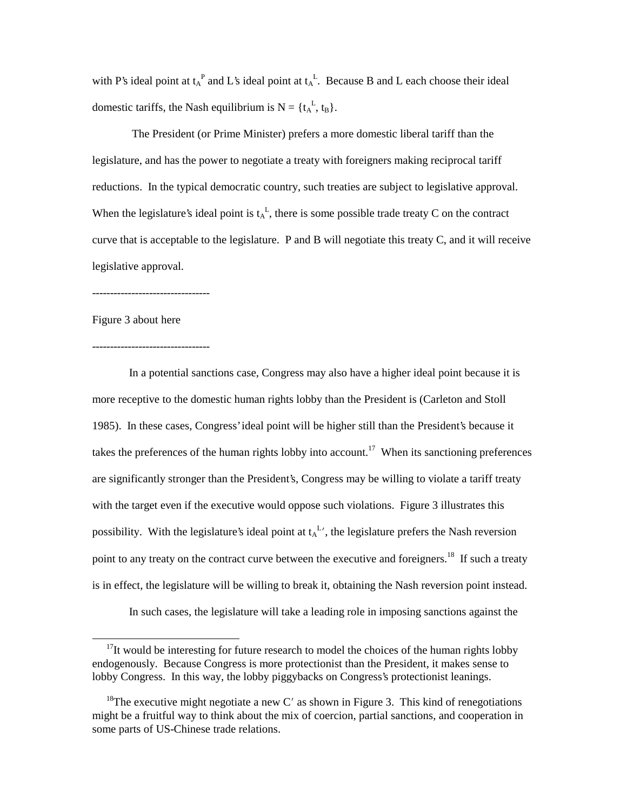with P's ideal point at  $t_A^P$  and L's ideal point at  $t_A^L$ . Because B and L each choose their ideal domestic tariffs, the Nash equilibrium is  $N = \{t_A^L, t_B\}.$ 

 The President (or Prime Minister) prefers a more domestic liberal tariff than the legislature, and has the power to negotiate a treaty with foreigners making reciprocal tariff reductions. In the typical democratic country, such treaties are subject to legislative approval. When the legislature's ideal point is  $t_A^L$ , there is some possible trade treaty C on the contract curve that is acceptable to the legislature. P and B will negotiate this treaty C, and it will receive legislative approval.

---------------------------------

Figure 3 about here

 $\overline{a}$ 

--------------------------------- In a potential sanctions case, Congress may also have a higher ideal point because it is more receptive to the domestic human rights lobby than the President is (Carleton and Stoll 1985). In these cases, Congress' ideal point will be higher still than the President's because it takes the preferences of the human rights lobby into account.<sup>17</sup> When its sanctioning preferences are significantly stronger than the President's, Congress may be willing to violate a tariff treaty with the target even if the executive would oppose such violations. Figure 3 illustrates this possibility. With the legislature's ideal point at  $t_A^L$ , the legislature prefers the Nash reversion point to any treaty on the contract curve between the executive and foreigners.<sup>18</sup> If such a treaty is in effect, the legislature will be willing to break it, obtaining the Nash reversion point instead. In such cases, the legislature will take a leading role in imposing sanctions against the

 $17$ It would be interesting for future research to model the choices of the human rights lobby endogenously. Because Congress is more protectionist than the President, it makes sense to lobby Congress. In this way, the lobby piggybacks on Congress's protectionist leanings.

<sup>&</sup>lt;sup>18</sup>The executive might negotiate a new C' as shown in Figure 3. This kind of renegotiations might be a fruitful way to think about the mix of coercion, partial sanctions, and cooperation in some parts of US-Chinese trade relations.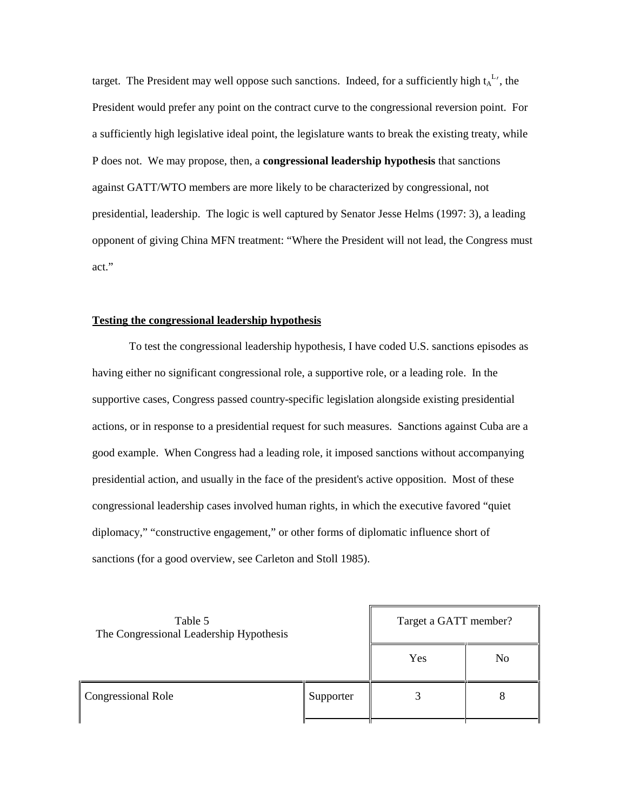target. The President may well oppose such sanctions. Indeed, for a sufficiently high  $t_A^L$ , the President would prefer any point on the contract curve to the congressional reversion point. For a sufficiently high legislative ideal point, the legislature wants to break the existing treaty, while P does not. We may propose, then, a **congressional leadership hypothesis** that sanctions against GATT/WTO members are more likely to be characterized by congressional, not presidential, leadership. The logic is well captured by Senator Jesse Helms (1997: 3), a leading opponent of giving China MFN treatment: "Where the President will not lead, the Congress must act."

# **Testing the congressional leadership hypothesis**

To test the congressional leadership hypothesis, I have coded U.S. sanctions episodes as having either no significant congressional role, a supportive role, or a leading role. In the supportive cases, Congress passed country-specific legislation alongside existing presidential actions, or in response to a presidential request for such measures. Sanctions against Cuba are a good example. When Congress had a leading role, it imposed sanctions without accompanying presidential action, and usually in the face of the president's active opposition. Most of these congressional leadership cases involved human rights, in which the executive favored "quiet diplomacy," "constructive engagement," or other forms of diplomatic influence short of sanctions (for a good overview, see Carleton and Stoll 1985).

| Table 5<br>The Congressional Leadership Hypothesis |           | Target a GATT member? |                |
|----------------------------------------------------|-----------|-----------------------|----------------|
|                                                    |           | Yes                   | N <sub>0</sub> |
| Congressional Role                                 | Supporter |                       | 8              |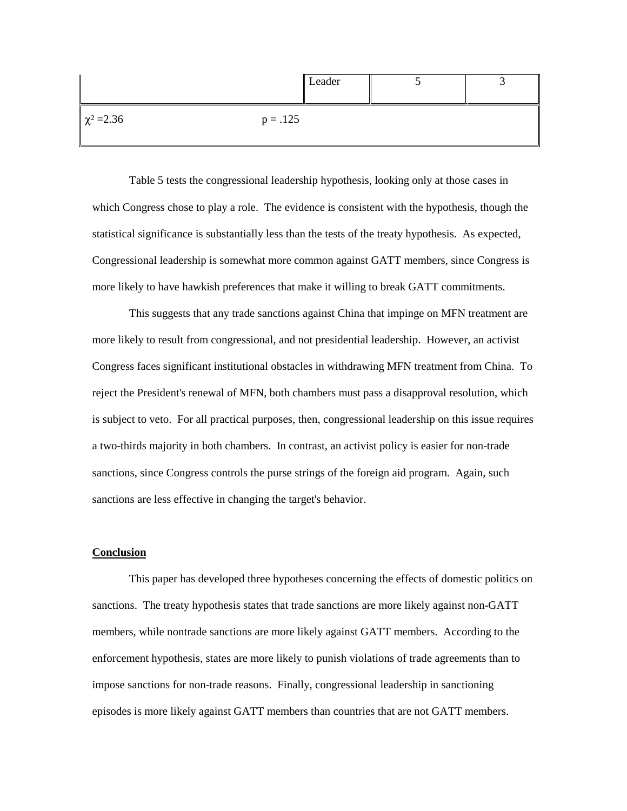|                 | Leader     |  |
|-----------------|------------|--|
| $\chi^2 = 2.36$ | $p = .125$ |  |

Table 5 tests the congressional leadership hypothesis, looking only at those cases in which Congress chose to play a role. The evidence is consistent with the hypothesis, though the statistical significance is substantially less than the tests of the treaty hypothesis. As expected, Congressional leadership is somewhat more common against GATT members, since Congress is more likely to have hawkish preferences that make it willing to break GATT commitments.

This suggests that any trade sanctions against China that impinge on MFN treatment are more likely to result from congressional, and not presidential leadership. However, an activist Congress faces significant institutional obstacles in withdrawing MFN treatment from China. To reject the President's renewal of MFN, both chambers must pass a disapproval resolution, which is subject to veto. For all practical purposes, then, congressional leadership on this issue requires a two-thirds majority in both chambers. In contrast, an activist policy is easier for non-trade sanctions, since Congress controls the purse strings of the foreign aid program. Again, such sanctions are less effective in changing the target's behavior.

## **Conclusion**

This paper has developed three hypotheses concerning the effects of domestic politics on sanctions. The treaty hypothesis states that trade sanctions are more likely against non-GATT members, while nontrade sanctions are more likely against GATT members. According to the enforcement hypothesis, states are more likely to punish violations of trade agreements than to impose sanctions for non-trade reasons. Finally, congressional leadership in sanctioning episodes is more likely against GATT members than countries that are not GATT members.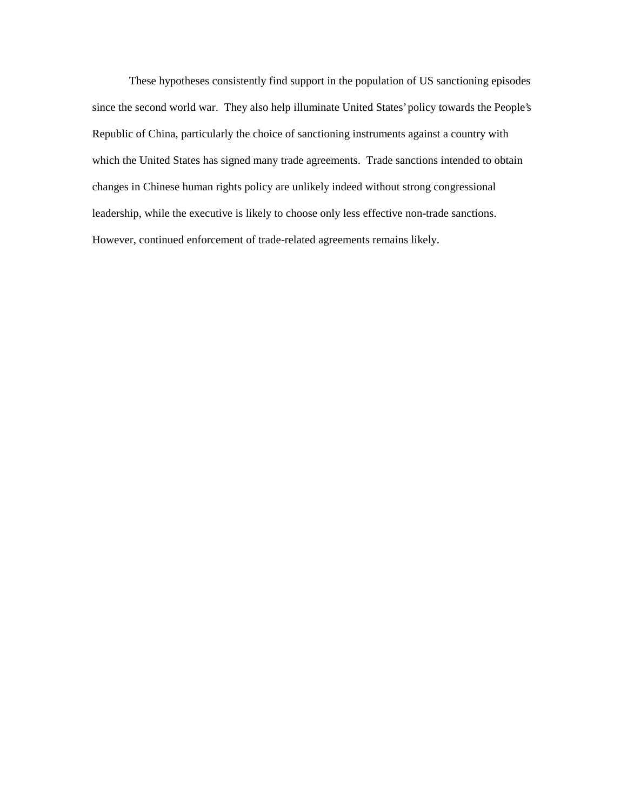These hypotheses consistently find support in the population of US sanctioning episodes since the second world war. They also help illuminate United States' policy towards the People's Republic of China, particularly the choice of sanctioning instruments against a country with which the United States has signed many trade agreements. Trade sanctions intended to obtain changes in Chinese human rights policy are unlikely indeed without strong congressional leadership, while the executive is likely to choose only less effective non-trade sanctions. However, continued enforcement of trade-related agreements remains likely.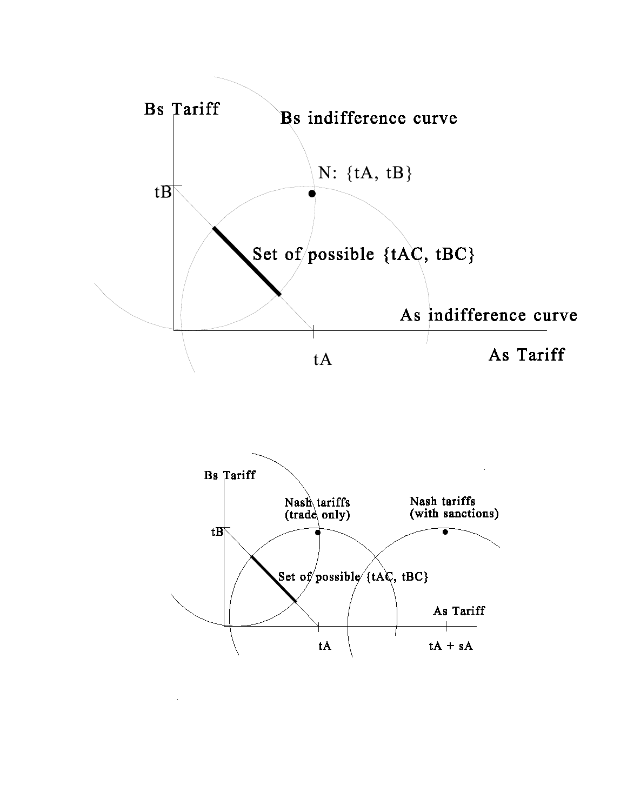

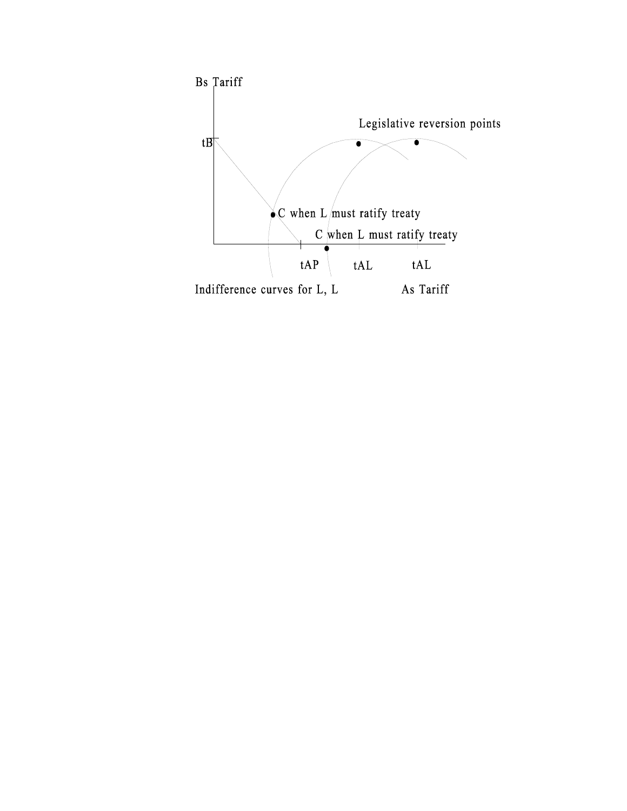

 $\ddot{\phantom{a}}$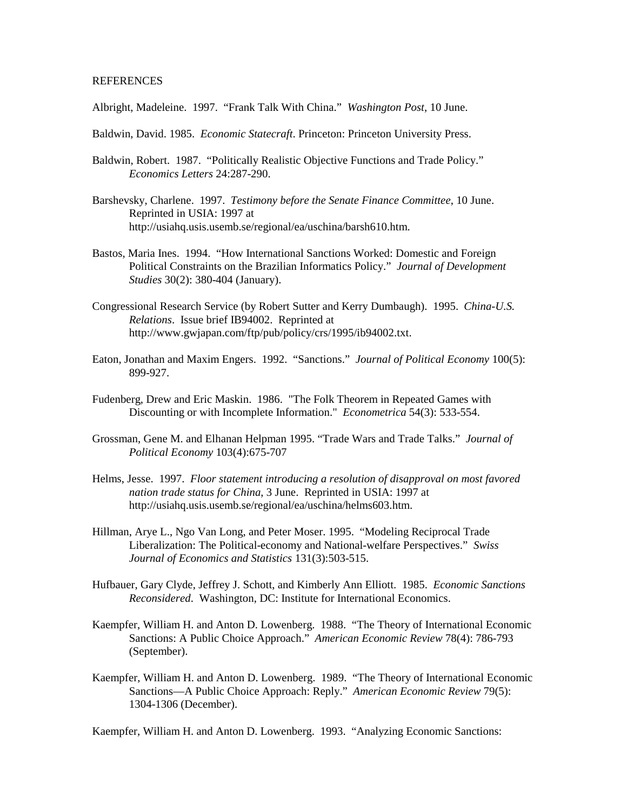#### **REFERENCES**

Albright, Madeleine. 1997. "Frank Talk With China." *Washington Post*, 10 June.

- Baldwin, David. 1985. *Economic Statecraft*. Princeton: Princeton University Press.
- Baldwin, Robert. 1987. "Politically Realistic Objective Functions and Trade Policy." *Economics Letters* 24:287-290.
- Barshevsky, Charlene. 1997. *Testimony before the Senate Finance Committee*, 10 June. Reprinted in USIA: 1997 at http://usiahq.usis.usemb.se/regional/ea/uschina/barsh610.htm.
- Bastos, Maria Ines. 1994. "How International Sanctions Worked: Domestic and Foreign Political Constraints on the Brazilian Informatics Policy." *Journal of Development Studies* 30(2): 380-404 (January).
- Congressional Research Service (by Robert Sutter and Kerry Dumbaugh). 1995. *China-U.S. Relations*. Issue brief IB94002. Reprinted at http://www.gwjapan.com/ftp/pub/policy/crs/1995/ib94002.txt.
- Eaton, Jonathan and Maxim Engers. 1992. "Sanctions." *Journal of Political Economy* 100(5): 899-927.
- Fudenberg, Drew and Eric Maskin. 1986. "The Folk Theorem in Repeated Games with Discounting or with Incomplete Information." *Econometrica* 54(3): 533-554.
- Grossman, Gene M. and Elhanan Helpman 1995. "Trade Wars and Trade Talks." *Journal of Political Economy* 103(4):675-707
- Helms, Jesse. 1997. *Floor statement introducing a resolution of disapproval on most favored nation trade status for China*, 3 June. Reprinted in USIA: 1997 at http://usiahq.usis.usemb.se/regional/ea/uschina/helms603.htm.
- Hillman, Arye L., Ngo Van Long, and Peter Moser. 1995. "Modeling Reciprocal Trade Liberalization: The Political-economy and National-welfare Perspectives." *Swiss Journal of Economics and Statistics* 131(3):503-515.
- Hufbauer, Gary Clyde, Jeffrey J. Schott, and Kimberly Ann Elliott. 1985. *Economic Sanctions Reconsidered*. Washington, DC: Institute for International Economics.
- Kaempfer, William H. and Anton D. Lowenberg. 1988. "The Theory of International Economic Sanctions: A Public Choice Approach." *American Economic Review* 78(4): 786-793 (September).
- Kaempfer, William H. and Anton D. Lowenberg. 1989. "The Theory of International Economic Sanctions—A Public Choice Approach: Reply." *American Economic Review* 79(5): 1304-1306 (December).

Kaempfer, William H. and Anton D. Lowenberg. 1993. "Analyzing Economic Sanctions: